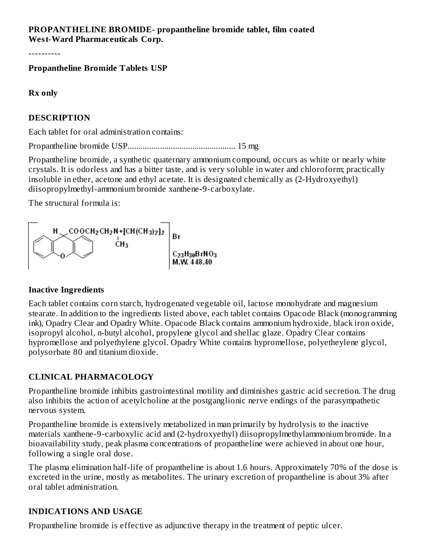### **PROPANTHELINE BROMIDE- propantheline bromide tablet, film coated West-Ward Pharmaceuticals Corp.**

----------

**Propantheline Bromide Tablets USP**

**Rx only**

### **DESCRIPTION**

Each tablet for oral administration contains:

Propantheline bromide USP.................................................. 15 mg

Propantheline bromide, a synthetic quaternary ammonium compound, occurs as white or nearly white crystals. It is odorless and has a bitter taste, and is very soluble in water and chloroform; practically insoluble in ether, acetone and ethyl acetate. It is designated chemically as (2-Hydroxyethyl) diisopropylmethyl-ammonium bromide xanthene-9-carboxylate.

The structural formula is:



### **Inactive Ingredients**

Each tablet contains corn starch, hydrogenated vegetable oil, lactose monohydrate and magnesium stearate. In addition to the ingredients listed above, each tablet contains Opacode Black (monogramming ink), Opadry Clear and Opadry White. Opacode Black contains ammonium hydroxide, black iron oxide, isopropyl alcohol, n-butyl alcohol, propylene glycol and shellac glaze. Opadry Clear contains hypromellose and polyethylene glycol. Opadry White contains hypromellose, polyetheylene glycol, polysorbate 80 and titanium dioxide.

### **CLINICAL PHARMACOLOGY**

Propantheline bromide inhibits gastrointestinal motility and diminishes gastric acid secretion. The drug also inhibits the action of acetylcholine at the postganglionic nerve endings of the parasympathetic nervous system.

Propantheline bromide is extensively metabolized in man primarily by hydrolysis to the inactive materials xanthene-9-carboxylic acid and (2-hydroxyethyl) diisopropylmethylammonium bromide. In a bioavailability study, peak plasma concentrations of propantheline were achieved in about one hour, following a single oral dose.

The plasma elimination half-life of propantheline is about 1.6 hours. Approximately 70% of the dose is excreted in the urine, mostly as metabolites. The urinary excretion of propantheline is about 3% after oral tablet administration.

## **INDICATIONS AND USAGE**

Propantheline bromide is effective as adjunctive therapy in the treatment of peptic ulcer.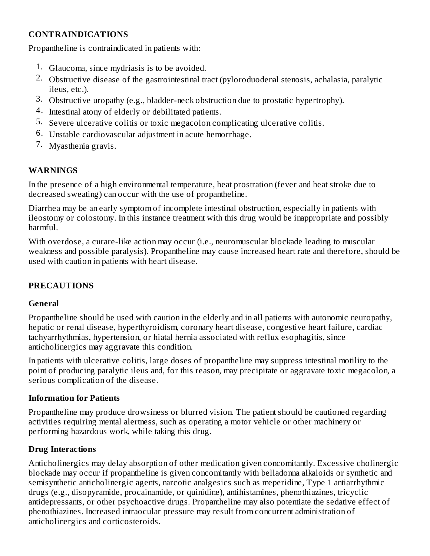## **CONTRAINDICATIONS**

Propantheline is contraindicated in patients with:

- 1. Glaucoma, since mydriasis is to be avoided.
- 2. Obstructive disease of the gastrointestinal tract (pyloroduodenal stenosis, achalasia, paralytic ileus, etc.).
- 3. Obstructive uropathy (e.g., bladder-neck obstruction due to prostatic hypertrophy).
- 4. Intestinal atony of elderly or debilitated patients.
- 5. Severe ulcerative colitis or toxic megacolon complicating ulcerative colitis.
- 6. Unstable cardiovascular adjustment in acute hemorrhage.
- 7. Myasthenia gravis.

## **WARNINGS**

In the presence of a high environmental temperature, heat prostration (fever and heat stroke due to decreased sweating) can occur with the use of propantheline.

Diarrhea may be an early symptom of incomplete intestinal obstruction, especially in patients with ileostomy or colostomy. In this instance treatment with this drug would be inappropriate and possibly harmful.

With overdose, a curare-like action may occur (i.e., neuromuscular blockade leading to muscular weakness and possible paralysis). Propantheline may cause increased heart rate and therefore, should be used with caution in patients with heart disease.

## **PRECAUTIONS**

### **General**

Propantheline should be used with caution in the elderly and in all patients with autonomic neuropathy, hepatic or renal disease, hyperthyroidism, coronary heart disease, congestive heart failure, cardiac tachyarrhythmias, hypertension, or hiatal hernia associated with reflux esophagitis, since anticholinergics may aggravate this condition.

In patients with ulcerative colitis, large doses of propantheline may suppress intestinal motility to the point of producing paralytic ileus and, for this reason, may precipitate or aggravate toxic megacolon, a serious complication of the disease.

### **Information for Patients**

Propantheline may produce drowsiness or blurred vision. The patient should be cautioned regarding activities requiring mental alertness, such as operating a motor vehicle or other machinery or performing hazardous work, while taking this drug.

### **Drug Interactions**

Anticholinergics may delay absorption of other medication given concomitantly. Excessive cholinergic blockade may occur if propantheline is given concomitantly with belladonna alkaloids or synthetic and semisynthetic anticholinergic agents, narcotic analgesics such as meperidine, Type 1 antiarrhythmic drugs (e.g., disopyramide, procainamide, or quinidine), antihistamines, phenothiazines, tricyclic antidepressants, or other psychoactive drugs. Propantheline may also potentiate the sedative effect of phenothiazines. Increased intraocular pressure may result from concurrent administration of anticholinergics and corticosteroids.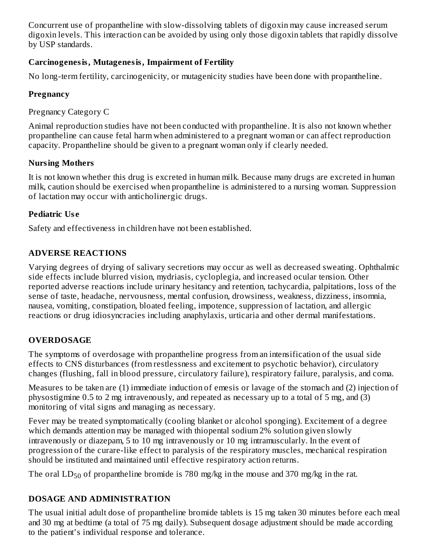Concurrent use of propantheline with slow-dissolving tablets of digoxin may cause increased serum digoxin levels. This interaction can be avoided by using only those digoxin tablets that rapidly dissolve by USP standards.

## **Carcinogenesis, Mutagenesis, Impairment of Fertility**

No long-term fertility, carcinogenicity, or mutagenicity studies have been done with propantheline.

## **Pregnancy**

Pregnancy Category C

Animal reproduction studies have not been conducted with propantheline. It is also not known whether propantheline can cause fetal harm when administered to a pregnant woman or can affect reproduction capacity. Propantheline should be given to a pregnant woman only if clearly needed.

# **Nursing Mothers**

It is not known whether this drug is excreted in human milk. Because many drugs are excreted in human milk, caution should be exercised when propantheline is administered to a nursing woman. Suppression of lactation may occur with anticholinergic drugs.

# **Pediatric Us e**

Safety and effectiveness in children have not been established.

# **ADVERSE REACTIONS**

Varying degrees of drying of salivary secretions may occur as well as decreased sweating. Ophthalmic side effects include blurred vision, mydriasis, cycloplegia, and increased ocular tension. Other reported adverse reactions include urinary hesitancy and retention, tachycardia, palpitations, loss of the sense of taste, headache, nervousness, mental confusion, drowsiness, weakness, dizziness, insomnia, nausea, vomiting, constipation, bloated feeling, impotence, suppression of lactation, and allergic reactions or drug idiosyncracies including anaphylaxis, urticaria and other dermal manifestations.

# **OVERDOSAGE**

The symptoms of overdosage with propantheline progress from an intensification of the usual side effects to CNS disturbances (from restlessness and excitement to psychotic behavior), circulatory changes (flushing, fall in blood pressure, circulatory failure), respiratory failure, paralysis, and coma.

Measures to be taken are (1) immediate induction of emesis or lavage of the stomach and (2) injection of physostigmine 0.5 to 2 mg intravenously, and repeated as necessary up to a total of 5 mg, and (3) monitoring of vital signs and managing as necessary.

Fever may be treated symptomatically (cooling blanket or alcohol sponging). Excitement of a degree which demands attention may be managed with thiopental sodium 2% solution given slowly intravenously or diazepam, 5 to 10 mg intravenously or 10 mg intramuscularly. In the event of progression of the curare-like effect to paralysis of the respiratory muscles, mechanical respiration should be instituted and maintained until effective respiratory action returns.

The oral  $LD_{50}$  of propantheline bromide is 780 mg/kg in the mouse and 370 mg/kg in the rat.

# **DOSAGE AND ADMINISTRATION**

The usual initial adult dose of propantheline bromide tablets is 15 mg taken 30 minutes before each meal and 30 mg at bedtime (a total of 75 mg daily). Subsequent dosage adjustment should be made according to the patient's individual response and tolerance.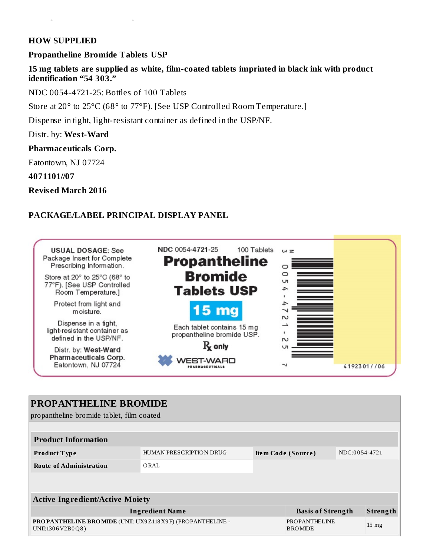#### **HOW SUPPLIED**

#### **Propantheline Bromide Tablets USP**

**15 mg tablets are supplied as white, film-coated tablets imprinted in black ink with product identification "54 303."**

NDC 0054-4721-25: Bottles of 100 Tablets

to the patient's individual response and tolerance.

Store at 20° to 25°C (68° to 77°F). [See USP Controlled Room Temperature.]

Dispense in tight, light-resistant container as defined in the USP/NF.

Distr. by: **West-Ward**

**Pharmaceuticals Corp.**

Eatontown, NJ 07724

**4071101//07**

**Revis ed March 2016**

### **PACKAGE/LABEL PRINCIPAL DISPLAY PANEL**



# **PROPANTHELINE BROMIDE** propantheline bromide tablet, film coated **Product Information Product T ype** HUMAN PRESCRIPTION DRUG **Ite m Code (Source )** NDC:0 0 54-4721 **Route of Administration** ORAL **Active Ingredient/Active Moiety Ingredient Name Basis of Strength Strength PROPANTHELINE BROMIDE** (UNII: UX9Z118X9 F) (PROPANTHELINE - UNII:130 6V2B0Q8 ) PROPANTHELINE BROMIDE 15 mg